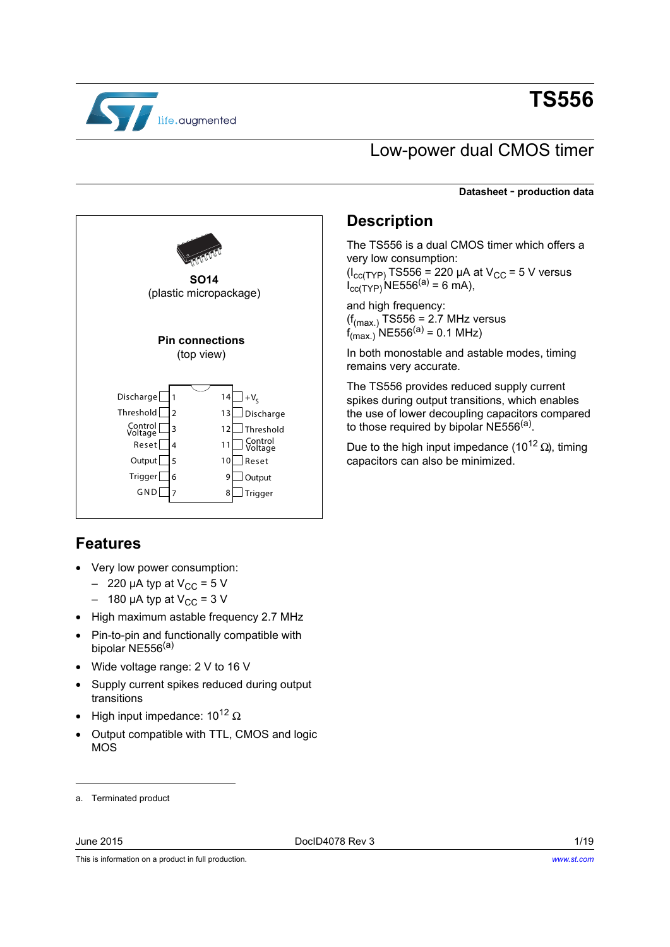

# **TS556**

## Low-power dual CMOS timer

**Datasheet** - **production data**



### <span id="page-0-1"></span>**Features**

- Very low power consumption:
	- $-$  220 µA typ at  $V_{CC}$  = 5 V
	- $-$  180 µA typ at V<sub>CC</sub> = 3 V
- High maximum astable frequency 2.7 MHz
- Pin-to-pin and functionally compatible with bipolar NE556<sup>(a)</sup>
- Wide voltage range: 2 V to 16 V
- Supply current spikes reduced during output transitions
- High input impedance: 10<sup>12</sup> Ω
- Output compatible with TTL, CMOS and logic MOS

### <span id="page-0-2"></span>**Description**

The TS556 is a dual CMOS timer which offers a very low consumption:  $(I_{\text{cc(TYP)}}$ TS556 = 220 µA at V<sub>CC</sub> = 5 V versus  $I_{cc(TYP)}(NE556^{(a)} = 6 \text{ mA}),$ 

and high frequency:  $(f_{(max.)}$  TS556 = 2.7 MHz versus  $f_{(max.)}^{(max.)}$ NE556<sup>(a)</sup> = 0.1 MHz)

In both monostable and astable modes, timing remains very accurate.

The TS556 provides reduced supply current spikes during output transitions, which enables the use of lower decoupling capacitors compared to those required by bipolar  $NE556^{(a)}$  $NE556^{(a)}$  $NE556^{(a)}$ .

Due to the high input impedance (10<sup>12</sup> Ω), timing capacitors can also be minimized.

This is information on a product in full production.

<span id="page-0-0"></span>a. Terminated product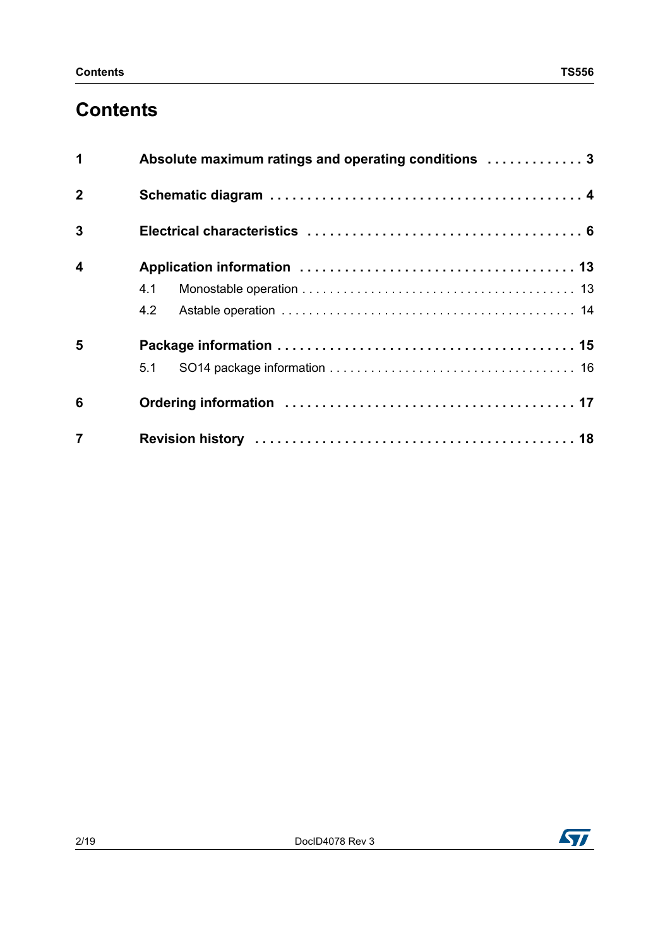## **Contents**

| 1                       | Absolute maximum ratings and operating conditions  3 |
|-------------------------|------------------------------------------------------|
| $\overline{2}$          |                                                      |
| $\overline{3}$          |                                                      |
| $\overline{\mathbf{4}}$ |                                                      |
|                         | 4.1                                                  |
|                         | 4.2                                                  |
| 5                       |                                                      |
|                         | 5.1                                                  |
| 6                       |                                                      |
| $\overline{7}$          |                                                      |

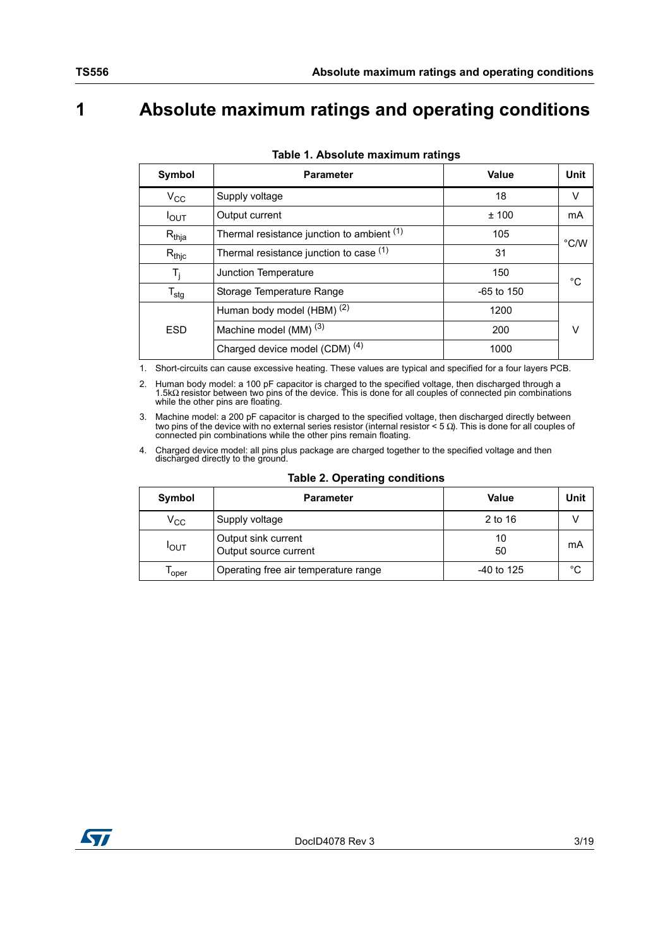## <span id="page-2-0"></span>**1 Absolute maximum ratings and operating conditions**

<span id="page-2-2"></span>

| Symbol                      | <b>Parameter</b>                           | Value        | Unit          |
|-----------------------------|--------------------------------------------|--------------|---------------|
| $V_{\rm CC}$                | Supply voltage                             | 18           | V             |
| $I_{OUT}$                   | Output current                             | ±100         | mA            |
| $R_{thja}$                  | Thermal resistance junction to ambient (1) | 105          | $\degree$ C/W |
| $R_{\text{thic}}$           | Thermal resistance junction to case (1)    | 31           |               |
| T,                          | Junction Temperature                       | 150          | $^{\circ}$ C  |
| $\mathsf{T}_{\mathsf{stg}}$ | Storage Temperature Range                  | $-65$ to 150 |               |
|                             | Human body model (HBM) <sup>(2)</sup>      | 1200         |               |
| <b>ESD</b>                  | Machine model (MM) <sup>(3)</sup>          | 200          | v             |
|                             | Charged device model (CDM) <sup>(4)</sup>  | 1000         |               |

|  | Table 1. Absolute maximum ratings |  |
|--|-----------------------------------|--|
|  |                                   |  |

<span id="page-2-1"></span>1. Short-circuits can cause excessive heating. These values are typical and specified for a four layers PCB.

2. Human body model: a 100 pF capacitor is charged to the specified voltage, then discharged through a 1.5kΩ resistor between two pins of the device. This is done for all couples of connected pin combinations while the other pins are floating.

3. Machine model: a 200 pF capacitor is charged to the specified voltage, then discharged directly between two pins of the device with no external series resistor (internal resistor < 5  $\Omega$ ). This is done for all couples connected pin combinations while the other pins remain floating.

4. Charged device model: all pins plus package are charged together to the specified voltage and then discharged directly to the ground.

<span id="page-2-3"></span>

| Symbol       | <b>Parameter</b>                             | Value        | Unit |
|--------------|----------------------------------------------|--------------|------|
| $\rm v_{cc}$ | Supply voltage                               | 2 to 16      |      |
| <b>I</b> OUT | Output sink current<br>Output source current | 10<br>50     | mA   |
| l oper       | Operating free air temperature range         | $-40$ to 125 | °C   |

### **Table 2. Operating conditions**

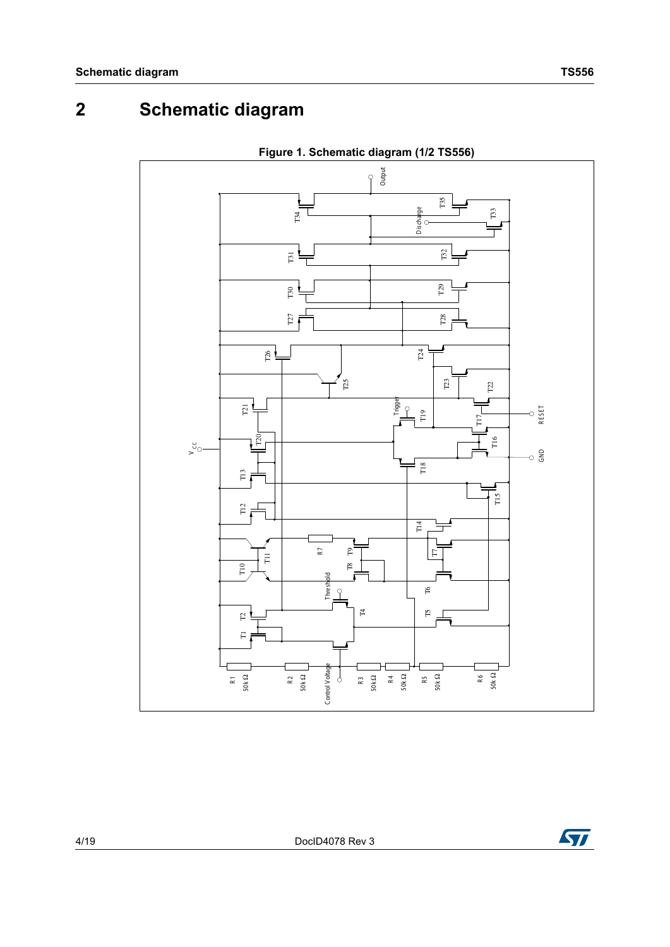## <span id="page-3-0"></span>**2 Schematic diagram**



**Figure 1. Schematic diagram (1/2 TS556)**

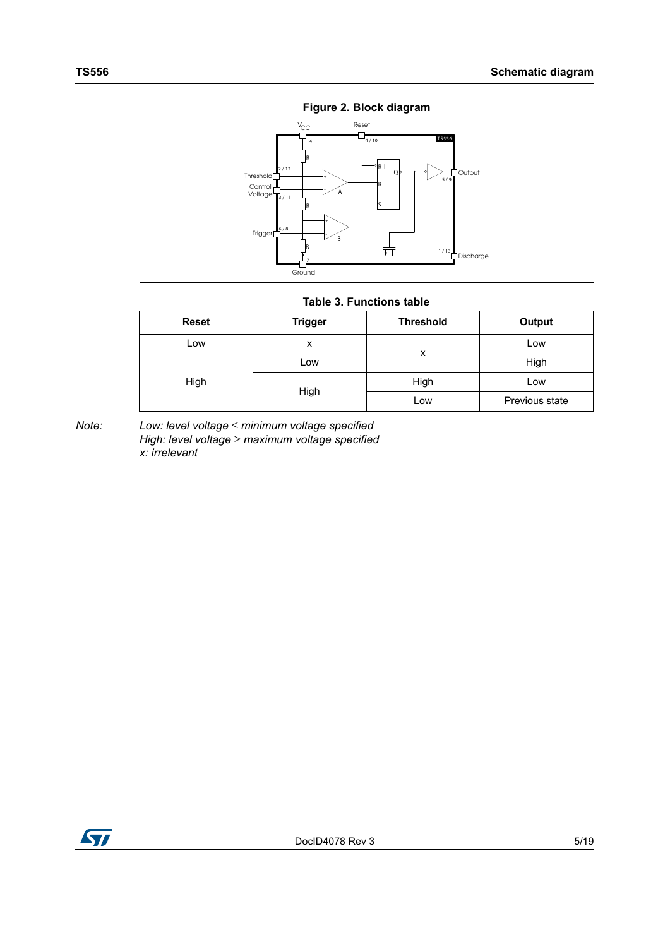

**Figure 2. Block diagram**

<span id="page-4-0"></span>

#### **Table 3. Functions table**

| <b>Reset</b> | <b>Trigger</b> | <b>Threshold</b> | Output         |
|--------------|----------------|------------------|----------------|
| Low          | x              |                  | Low            |
|              | LOW            | x                | High           |
| High         |                | High             | Low            |
|              | High           | Low              | Previous state |

*Note: Low: level voltage* ≤ *minimum voltage specified High: level voltage* ≥ *maximum voltage specified x: irrelevant*

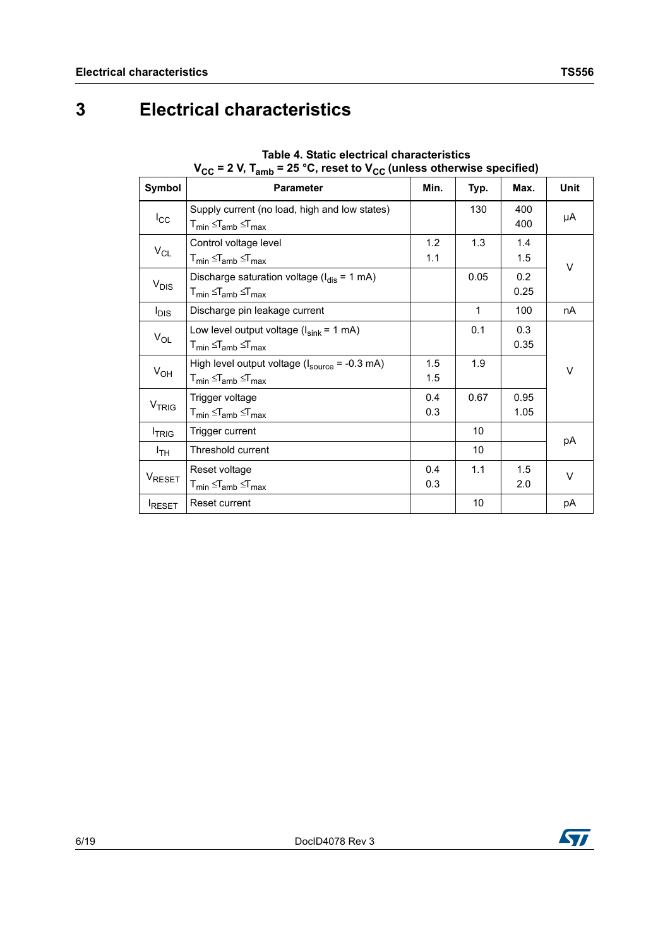## <span id="page-5-0"></span>**3 Electrical characteristics**

| Symbol             | ◡◡<br>- , alliv<br><b>Parameter</b>                                                                                                                   | Min.       | Typ.         | Max.         | Unit   |
|--------------------|-------------------------------------------------------------------------------------------------------------------------------------------------------|------------|--------------|--------------|--------|
| $I_{\rm CC}$       | Supply current (no load, high and low states)<br>${\mathsf T}_{\mathsf{min}}$ $\leq$ ${\mathsf T}_{\mathsf{amb}}$ $\leq$ ${\mathsf T}_{\mathsf{max}}$ |            | 130          | 400<br>400   | μA     |
| $V_{CL}$           | Control voltage level<br>$T_{min} \leq T_{amb} \leq T_{max}$                                                                                          | 1.2<br>1.1 | 1.3          | 1.4<br>1.5   | $\vee$ |
| $V_{DIS}$          | Discharge saturation voltage ( $I_{dis} = 1$ mA)<br>$T_{min} \leq T_{amb} \leq T_{max}$                                                               |            | 0.05         | 0.2<br>0.25  |        |
| $I_{DIS}$          | Discharge pin leakage current                                                                                                                         |            | $\mathbf{1}$ | 100          | nA     |
| $V_{OL}$           | Low level output voltage $(l_{sink} = 1$ mA)<br>$T_{min} \leq T_{amb} \leq T_{max}$                                                                   |            | 0.1          | 0.3<br>0.35  |        |
| $V_{OH}$           | High level output voltage $(l_{\text{source}} = -0.3 \text{ mA})$<br>$T_{min} \leq T_{amb} \leq T_{max}$                                              | 1.5<br>1.5 | 1.9          |              | V      |
| V <sub>TRIG</sub>  | Trigger voltage<br>$T_{min} \leq T_{amb} \leq T_{max}$                                                                                                | 0.4<br>0.3 | 0.67         | 0.95<br>1.05 |        |
| <b>TRIG</b>        | Trigger current                                                                                                                                       |            | 10           |              | pA     |
| $I_{TH}$           | Threshold current                                                                                                                                     |            | 10           |              |        |
| V <sub>RESET</sub> | Reset voltage<br>$T_{min} \leq T_{amb} \leq T_{max}$                                                                                                  | 0.4<br>0.3 | 1.1          | 1.5<br>2.0   | V      |
| RESET              | Reset current                                                                                                                                         |            | 10           |              | рA     |

**Table 4. Static electrical characteristics**  $V_{CC}$  = 2 V,  $T_{\text{cmb}}$  = 25 °C, reset to  $V_{CC}$  (unless otherwise specified)

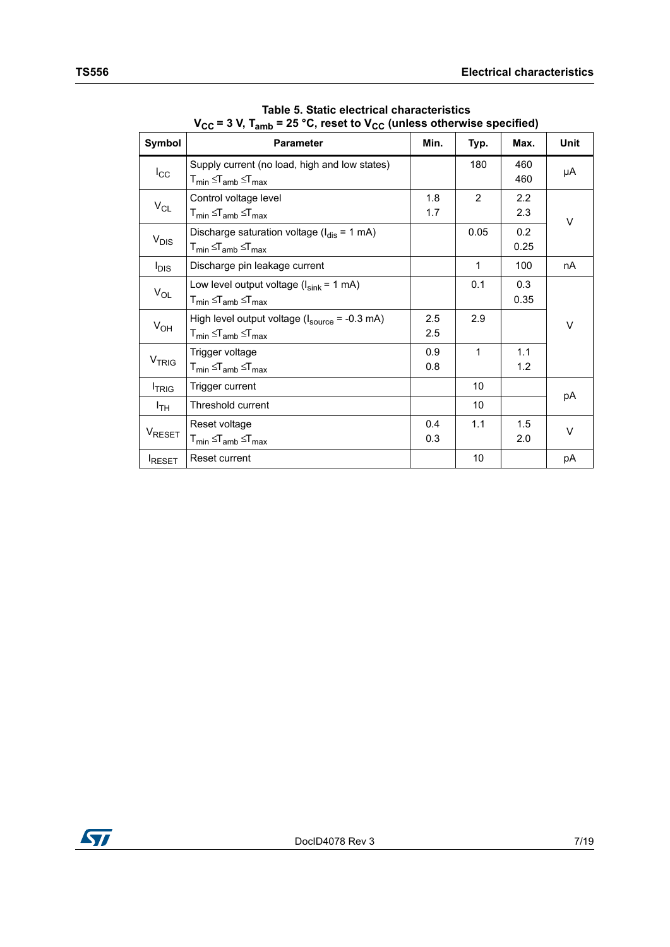|                    | $\mathbf{v}_{\text{CC}}$ = 3 $\mathbf{v}, \mathbf{v}_{\text{amb}}$ = 25 $\mathbf{v}, \mathbf{v}_{\text{S}}$ is to $\mathbf{v}_{\text{CC}}$ (unless otherwise specified) |            |                 |             |      |  |
|--------------------|-------------------------------------------------------------------------------------------------------------------------------------------------------------------------|------------|-----------------|-------------|------|--|
| Symbol             | <b>Parameter</b>                                                                                                                                                        | Min.       | Typ.            | Max.        | Unit |  |
| $I_{\rm CC}$       | Supply current (no load, high and low states)<br>$T_{min} \leq T_{amb} \leq T_{max}$                                                                                    |            | 180             | 460<br>460  | μA   |  |
| $V_{CL}$           | Control voltage level<br>${\mathsf T}_{\mathsf{min}}$ $\leq$ ${\mathsf T}_{\mathsf{amb}}$ $\leq$ ${\mathsf T}_{\mathsf{max}}$                                           | 1.8<br>1.7 | 2               | 2.2<br>2.3  | V    |  |
| $V_{DIS}$          | Discharge saturation voltage ( $I_{dis} = 1$ mA)<br>$T_{min} \leq T_{amb} \leq T_{max}$                                                                                 |            | 0.05            | 0.2<br>0.25 |      |  |
| l <sub>DIS</sub>   | Discharge pin leakage current                                                                                                                                           |            | 1               | 100         | nA   |  |
| $V_{OL}$           | Low level output voltage $(l_{sink} = 1$ mA)<br>$T_{min} \leq T_{amb} \leq T_{max}$                                                                                     |            | 0.1             | 0.3<br>0.35 |      |  |
| $V_{OH}$           | High level output voltage $(l_{\text{source}} = -0.3 \text{ mA})$<br>$T_{min} \leq T_{amb} \leq T_{max}$                                                                | 2.5<br>2.5 | 2.9             |             | V    |  |
| V <sub>TRIG</sub>  | Trigger voltage<br>$T_{min} \leq T_{amb} \leq T_{max}$                                                                                                                  | 0.9<br>0.8 | 1               | 1.1<br>1.2  |      |  |
| <b>TRIG</b>        | Trigger current                                                                                                                                                         |            | 10              |             | рA   |  |
| I <sub>TH</sub>    | Threshold current                                                                                                                                                       |            | 10 <sup>1</sup> |             |      |  |
| V <sub>RESET</sub> | Reset voltage<br>$T_{min} \leq T_{amb} \leq T_{max}$                                                                                                                    | 0.4<br>0.3 | 1.1             | 1.5<br>2.0  | V    |  |
| RESET              | Reset current                                                                                                                                                           |            | 10              |             | рA   |  |

**Table 5. Static electrical characteristics**  $V_{\text{eq}} = 3 \text{ V} \text{ T}$   $= 25 \text{ °C}$  reset to  $V_{\text{eq}}$  (unless otherwise specified)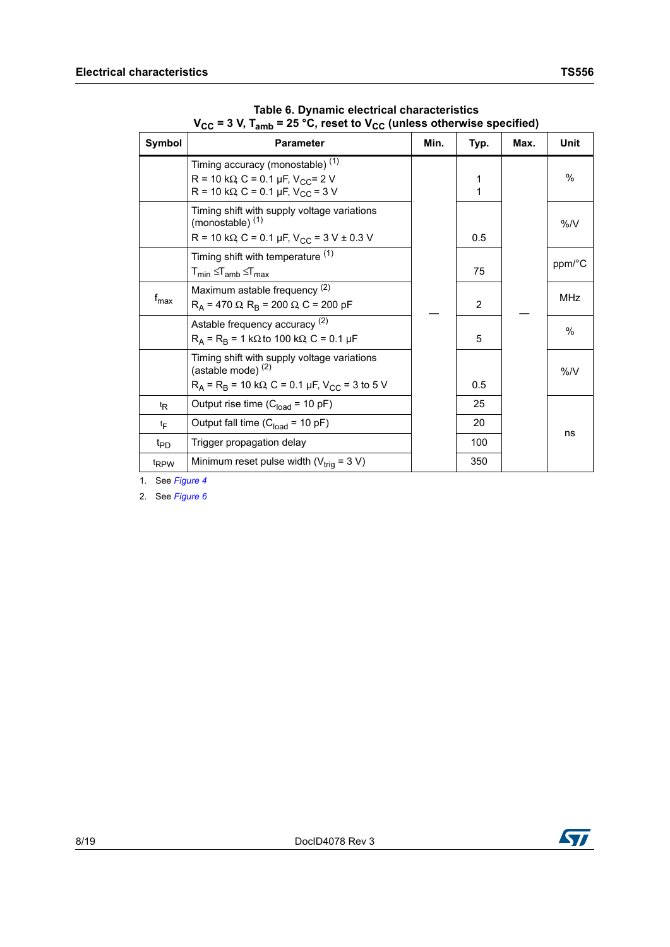| Symbol           | Parameter                                                                                                                                                   | Min. | Typ.           | Max. | Unit          |
|------------------|-------------------------------------------------------------------------------------------------------------------------------------------------------------|------|----------------|------|---------------|
|                  | Timing accuracy (monostable) <sup>(1)</sup><br>R = 10 k $\Omega$ C = 0.1 µF, V <sub>CC</sub> = 2 V<br>R = 10 k $\Omega$ , C = 0.1 µF, V <sub>CC</sub> = 3 V |      | 1<br>1         |      | $\frac{0}{0}$ |
|                  | Timing shift with supply voltage variations<br>(monostable) <sup>(1)</sup><br>R = 10 k $\Omega$ , C = 0.1 µF, V <sub>CC</sub> = 3 V ± 0.3 V                 |      | 0.5            |      | $\%$ /V       |
|                  | Timing shift with temperature (1)<br>$T_{min} \leq T_{amb} \leq T_{max}$                                                                                    |      | 75             |      | ppm/°C        |
| $f_{\text{max}}$ | Maximum astable frequency (2)<br>$R_A$ = 470 $\Omega$ , $R_B$ = 200 $\Omega$ , C = 200 pF                                                                   |      | $\overline{2}$ |      | <b>MHz</b>    |
|                  | Astable frequency accuracy (2)<br>$R_A = R_B = 1 k\Omega$ to 100 k $\Omega$ , C = 0.1 µF                                                                    |      | 5              |      | %             |
|                  | Timing shift with supply voltage variations<br>(astable mode) <sup>(2)</sup><br>$R_A = R_B = 10 k\Omega$ , C = 0.1 µF, V <sub>CC</sub> = 3 to 5 V           |      | 0.5            |      | $\%$ /V       |
| t <sub>R</sub>   | Output rise time $(C_{load} = 10 pF)$                                                                                                                       |      | 25             |      |               |
| tF               | Output fall time $(C_{load} = 10 pF)$                                                                                                                       |      | 20             |      | ns            |
| t <sub>PD</sub>  | Trigger propagation delay                                                                                                                                   |      | 100            |      |               |
| t <sub>RPW</sub> | Minimum reset pulse width ( $V_{\text{trig}}$ = 3 V)                                                                                                        |      | 350            |      |               |

**Table 6. Dynamic electrical characteristics V<sub>CC</sub> = 3 V, T<sub>amb</sub> = 25 °C, reset to V<sub>CC</sub> (unless otherwise specified)** 

<span id="page-7-0"></span>1. See *[Figure 4](#page-12-2)*

<span id="page-7-1"></span>2. See *[Figure 6](#page-13-1)*

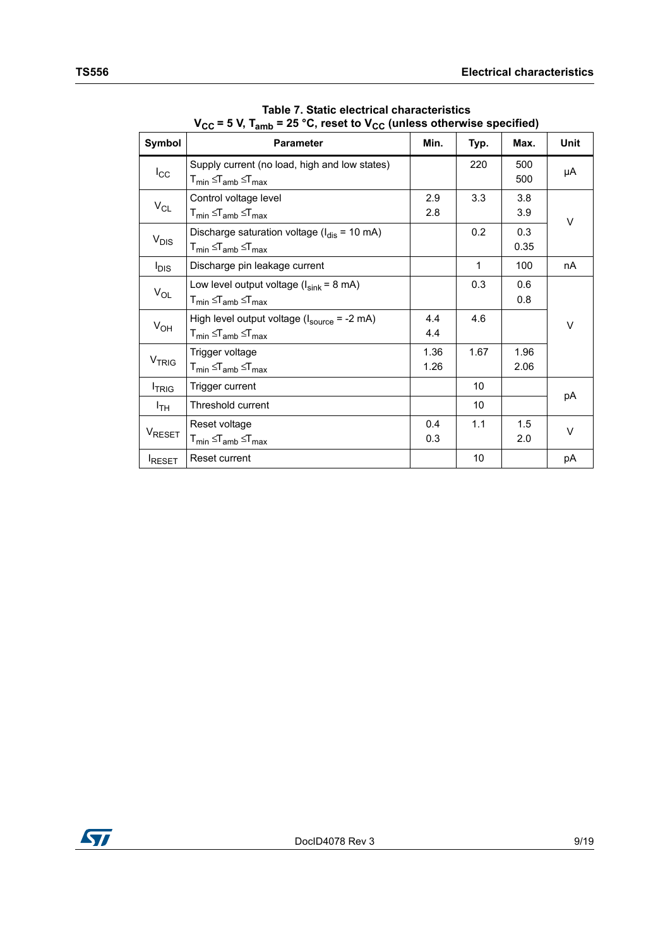|                    | $\mathbf{v}_{\mathsf{CC}}$ = 3 $\mathbf{v}, \mathbf{v}_{\mathsf{amb}}$ = 25 $\mathbf{v}, \mathbf{v}_{\mathsf{C}}$ to $\mathbf{v}_{\mathsf{CC}}$ (unless otherwise specified) |              |                 |              |      |  |
|--------------------|------------------------------------------------------------------------------------------------------------------------------------------------------------------------------|--------------|-----------------|--------------|------|--|
| Symbol             | <b>Parameter</b>                                                                                                                                                             | Min.         | Typ.            | Max.         | Unit |  |
| $I_{\rm CC}$       | Supply current (no load, high and low states)<br>${\mathsf T}_{\mathsf{min}}$ $\leq$ ${\mathsf T}_{\mathsf{amb}}$ $\leq$ ${\mathsf T}_{\mathsf{max}}$                        |              | 220             | 500<br>500   | μA   |  |
| $V_{CL}$           | Control voltage level<br>$T_{min} \leq T_{amb} \leq T_{max}$                                                                                                                 | 2.9<br>2.8   | 3.3             | 3.8<br>3.9   | V    |  |
| V <sub>DIS</sub>   | Discharge saturation voltage ( $I_{dis}$ = 10 mA)<br>$T_{min} \leq T_{amb} \leq T_{max}$                                                                                     |              | 0.2             | 0.3<br>0.35  |      |  |
| $I_{DIS}$          | Discharge pin leakage current                                                                                                                                                |              | $\mathbf 1$     | 100          | nA   |  |
| $V_{OL}$           | Low level output voltage $(l_{sink} = 8 \text{ mA})$<br>${\mathsf T}_{\mathsf{min}}$ $\leq$ ${\mathsf T}_{\mathsf{amb}}$ $\leq$ ${\mathsf T}_{\mathsf{max}}$                 |              | 0.3             | 0.6<br>0.8   |      |  |
| $V_{OH}$           | High level output voltage $(l_{source} = -2 mA)$<br>$\mathsf{T}_{\mathsf{min}} \leq \mathsf{T}_{\mathsf{amb}} \leq \mathsf{T}_{\mathsf{max}}$                                | 4.4<br>4.4   | 4.6             |              | V    |  |
| <b>VTRIG</b>       | Trigger voltage<br>$T_{min} \leq T_{amb} \leq T_{max}$                                                                                                                       | 1.36<br>1.26 | 1.67            | 1.96<br>2.06 |      |  |
| <b>TRIG</b>        | Trigger current                                                                                                                                                              |              | 10              |              | рA   |  |
| I <sub>TH</sub>    | Threshold current                                                                                                                                                            |              | 10 <sup>1</sup> |              |      |  |
| V <sub>RESET</sub> | Reset voltage<br>$T_{min} \leq T_{amb} \leq T_{max}$                                                                                                                         | 0.4<br>0.3   | 1.1             | 1.5<br>2.0   | V    |  |
| RESET              | Reset current                                                                                                                                                                |              | 10              |              | рA   |  |

**Table 7. Static electrical characteristics**  $V_{\text{eq}} = 5 \text{ V} \text{ T}$   $= 25 \text{ °C}$  reset to  $V_{\text{eq}}$  (unless otherwise specified)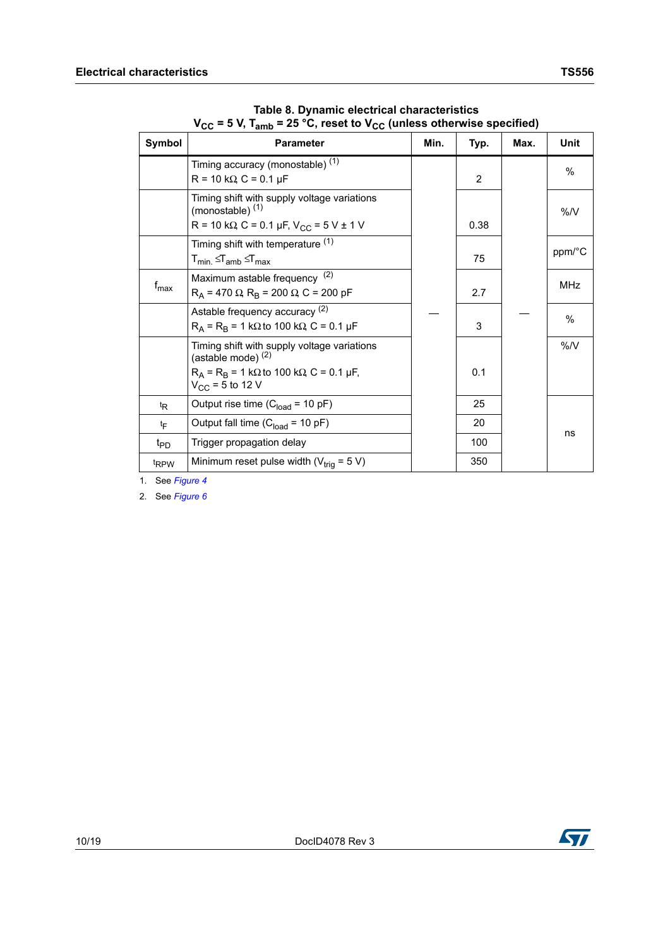| Symbol           | <b>Parameter</b>                                                                                                                                       | Min. | Typ. | Max. | <b>Unit</b>   |
|------------------|--------------------------------------------------------------------------------------------------------------------------------------------------------|------|------|------|---------------|
|                  | Timing accuracy (monostable) <sup>(1)</sup><br>$R = 10 k\Omega$ , $C = 0.1 \mu F$                                                                      |      | 2    |      | $\%$          |
|                  | Timing shift with supply voltage variations<br>(monostable) $(1)$<br>R = 10 k $\Omega$ , C = 0.1 µF, V <sub>CC</sub> = 5 V ± 1 V                       |      | 0.38 |      | %N            |
|                  | Timing shift with temperature (1)<br>$T_{min.} \leq T_{amb} \leq T_{max}$                                                                              |      | 75   |      | ppm/°C        |
| $f_{\sf max}$    | Maximum astable frequency <sup>(2)</sup><br>$R_A$ = 470 $\Omega$ , $R_B$ = 200 $\Omega$ , C = 200 pF                                                   |      | 2.7  |      | <b>MHz</b>    |
|                  | Astable frequency accuracy (2)<br>$R_A$ = R <sub>B</sub> = 1 kΩ to 100 kΩ, C = 0.1 µF                                                                  |      | 3    |      | $\frac{0}{0}$ |
|                  | Timing shift with supply voltage variations<br>(astable mode) $(2)$<br>$R_A = R_B = 1 k\Omega$ to 100 k $\Omega$ , C = 0.1 µF,<br>$V_{CC}$ = 5 to 12 V |      | 0.1  |      | $\%$ /V       |
| <sup>t</sup> R   | Output rise time $(C_{load} = 10 pF)$                                                                                                                  |      | 25   |      |               |
| tF               | Output fall time $(C_{load} = 10 pF)$                                                                                                                  |      | 20   |      | ns            |
| t <sub>PD</sub>  | Trigger propagation delay                                                                                                                              |      | 100  |      |               |
| t <sub>RPW</sub> | Minimum reset pulse width ( $V_{\text{triq}}$ = 5 V)                                                                                                   |      | 350  |      |               |

**Table 8. Dynamic electrical characteristics V<sub>CC</sub> = 5 V, T<sub>amb</sub> = 25 °C, reset to V<sub>CC</sub> (unless otherwise specified)** 

<span id="page-9-0"></span>1. See *[Figure 4](#page-12-2)*

<span id="page-9-1"></span>2. See *[Figure 6](#page-13-1)*

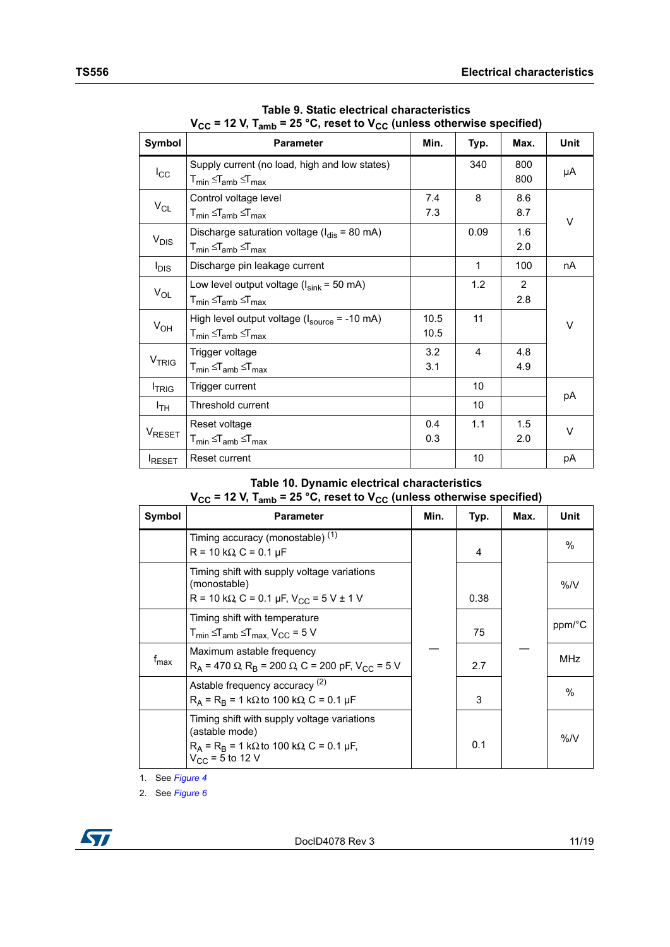| Symbol             | <b>Parameter</b>                                                                                                                                                            | Min.         | Typ.         | Max.                  | Unit   |
|--------------------|-----------------------------------------------------------------------------------------------------------------------------------------------------------------------------|--------------|--------------|-----------------------|--------|
| $I_{\rm CC}$       | Supply current (no load, high and low states)<br>${\mathsf T}_{\mathsf{min}}$ $\mathop{\leq_{\mathsf T}}_{\mathsf{amb}}$ $\mathop{\leq_{\mathsf T}}_{\mathsf{max}}$         |              | 340          | 800<br>800            | μA     |
| $V_{CL}$           | Control voltage level<br>$T_{min} \leq T_{amb} \leq T_{max}$                                                                                                                | 7.4<br>7.3   | 8            | 8.6<br>8.7            | V      |
| $V_{DIS}$          | Discharge saturation voltage ( $I_{dis}$ = 80 mA)<br>$\mathsf{T}_{\mathsf{min}} \leq \mathsf{T}_{\mathsf{amb}} \leq \mathsf{T}_{\mathsf{max}}$                              |              | 0.09         | 1.6<br>2.0            |        |
| $I_{DIS}$          | Discharge pin leakage current                                                                                                                                               |              | $\mathbf{1}$ | 100                   | nA     |
| $V_{OL}$           | Low level output voltage $(l_{sink} = 50 \text{ mA})$<br>${\mathsf T}_{\mathsf{min}}$ $\mathop{\leq_{\mathsf T}}_{\mathsf{amb}}$ $\mathop{\leq_{\mathsf T}}_{\mathsf{max}}$ |              | 1.2          | $\overline{2}$<br>2.8 |        |
| $V_{OH}$           | High level output voltage $(l_{source} = -10 \text{ mA})$<br>$T_{min} \leq T_{amb} \leq T_{max}$                                                                            | 10.5<br>10.5 | 11           |                       | V      |
| <b>VTRIG</b>       | Trigger voltage<br>$T_{min} \leq T_{amb} \leq T_{max}$                                                                                                                      | 3.2<br>3.1   | 4            | 4.8<br>4.9            |        |
| <b>TRIG</b>        | Trigger current                                                                                                                                                             |              | 10           |                       |        |
| Iтн                | Threshold current                                                                                                                                                           |              | 10           |                       | рA     |
| V <sub>RESET</sub> | Reset voltage<br>${\mathsf T}_{\mathsf{min}}$ $\leq$ ${\mathsf T}_{\mathsf{amb}}$ $\leq$ ${\mathsf T}_{\mathsf{max}}$                                                       | 0.4<br>0.3   | 1.1          | 1.5<br>2.0            | $\vee$ |
| RESET              | Reset current                                                                                                                                                               |              | 10           |                       | рA     |

**Table 9. Static electrical characteristics**  $V_{CC}$  = 12 V, T<sub>amb</sub> = 25 °C, reset to  $V_{CC}$  (unless otherwise specified)

### **Table 10. Dynamic electrical characteristics**  $V_{CC}$  = 12 V, T<sub>amb</sub> = 25 °C, reset to  $V_{CC}$  (unless otherwise specified)

| Symbol        | <b>Parameter</b>                                                                                                                                 | Min. | Typ. | Max. | <b>Unit</b> |
|---------------|--------------------------------------------------------------------------------------------------------------------------------------------------|------|------|------|-------------|
|               | Timing accuracy (monostable) <sup>(1)</sup><br>$R = 10 k\Omega$ , $C = 0.1 \mu F$                                                                |      | 4    |      | $\%$        |
|               | Timing shift with supply voltage variations<br>(monostable)<br>R = 10 k $\Omega$ , C = 0.1 µF, V <sub>CC</sub> = 5 V ± 1 V                       |      | 0.38 |      | %N          |
|               | Timing shift with temperature<br>$T_{min} \leq T_{amb} \leq T_{max}$ , $V_{CC} = 5$ V                                                            |      | 75   |      | ppm/°C      |
| $f_{\sf max}$ | Maximum astable frequency<br>$R_A$ = 470 $\Omega$ , $R_B$ = 200 $\Omega$ , C = 200 pF, V <sub>CC</sub> = 5 V                                     |      | 2.7  |      | <b>MHz</b>  |
|               | Astable frequency accuracy (2)<br>$R_A$ = $R_B$ = 1 k $\Omega$ to 100 k $\Omega$ , C = 0.1 µF                                                    |      | 3    |      | $\%$        |
|               | Timing shift with supply voltage variations<br>(astable mode)<br>$R_A = R_B = 1 k\Omega$ to 100 k $\Omega$ , C = 0.1 µF,<br>$V_{CC}$ = 5 to 12 V |      | 0.1  |      | %N          |

1. See *[Figure 4](#page-12-2)*

2. See *[Figure 6](#page-13-1)*

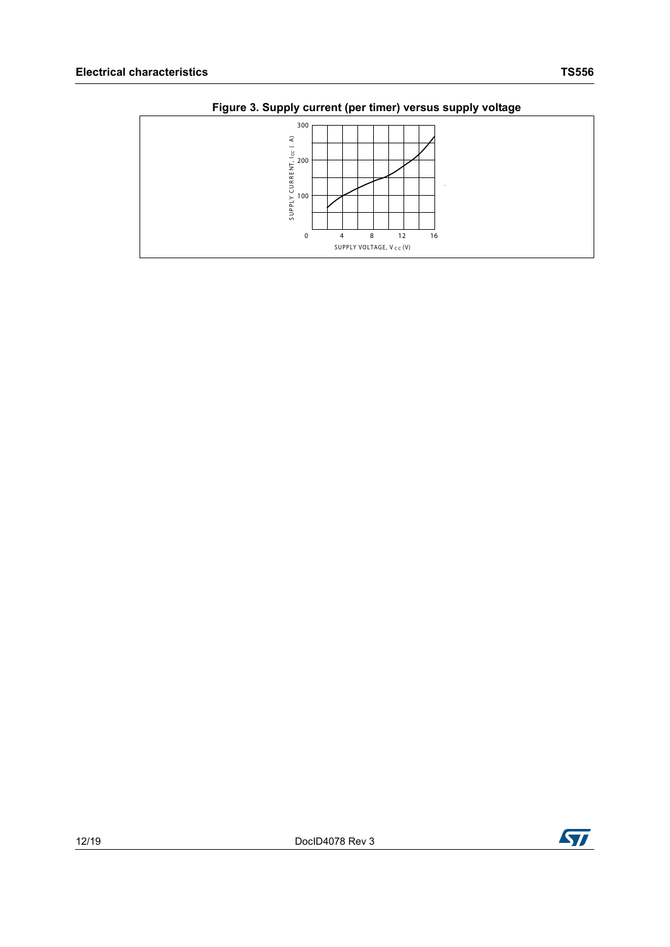

**Figure 3. Supply current (per timer) versus supply voltage**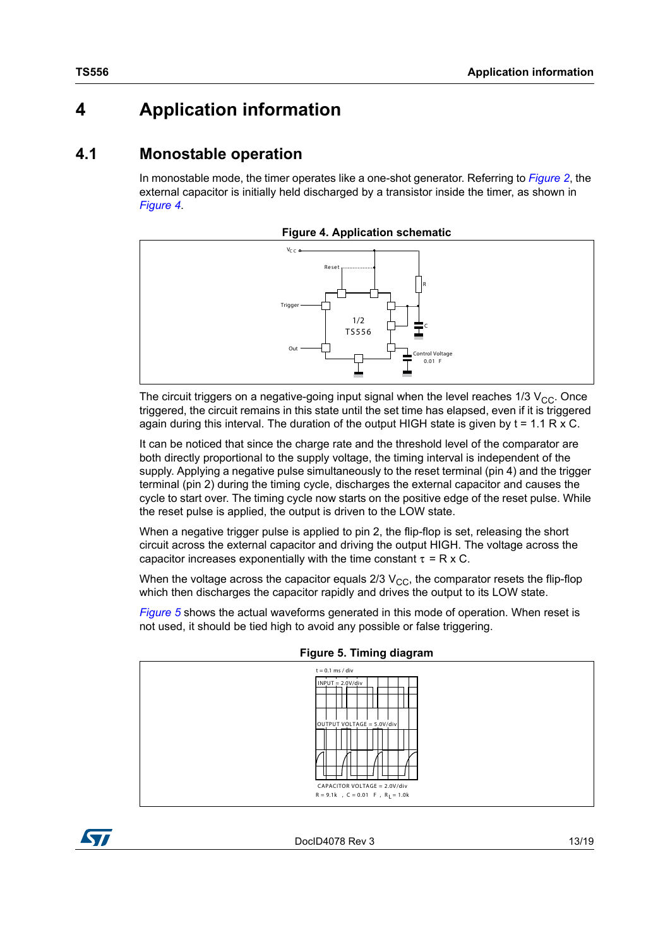## <span id="page-12-0"></span>**4 Application information**

### <span id="page-12-1"></span>**4.1 Monostable operation**

In monostable mode, the timer operates like a one-shot generator. Referring to *[Figure](#page-4-0) 2*, the external capacitor is initially held discharged by a transistor inside the timer, as shown in *[Figure](#page-12-2) 4*.

**Figure 4. Application schematic**

<span id="page-12-2"></span>

The circuit triggers on a negative-going input signal when the level reaches  $1/3$  V<sub>CC</sub>. Once triggered, the circuit remains in this state until the set time has elapsed, even if it is triggered again during this interval. The duration of the output HIGH state is given by  $t = 1.1$  R x C.

It can be noticed that since the charge rate and the threshold level of the comparator are both directly proportional to the supply voltage, the timing interval is independent of the supply. Applying a negative pulse simultaneously to the reset terminal (pin 4) and the trigger terminal (pin 2) during the timing cycle, discharges the external capacitor and causes the cycle to start over. The timing cycle now starts on the positive edge of the reset pulse. While the reset pulse is applied, the output is driven to the LOW state.

When a negative trigger pulse is applied to pin 2, the flip-flop is set, releasing the short circuit across the external capacitor and driving the output HIGH. The voltage across the capacitor increases exponentially with the time constant  $\tau = R \times C$ .

When the voltage across the capacitor equals  $2/3$  V<sub>CC</sub>, the comparator resets the flip-flop which then discharges the capacitor rapidly and drives the output to its LOW state.

*[Figure](#page-12-3) 5* shows the actual waveforms generated in this mode of operation. When reset is not used, it should be tied high to avoid any possible or false triggering.

<span id="page-12-3"></span>

**Figure 5. Timing diagram**

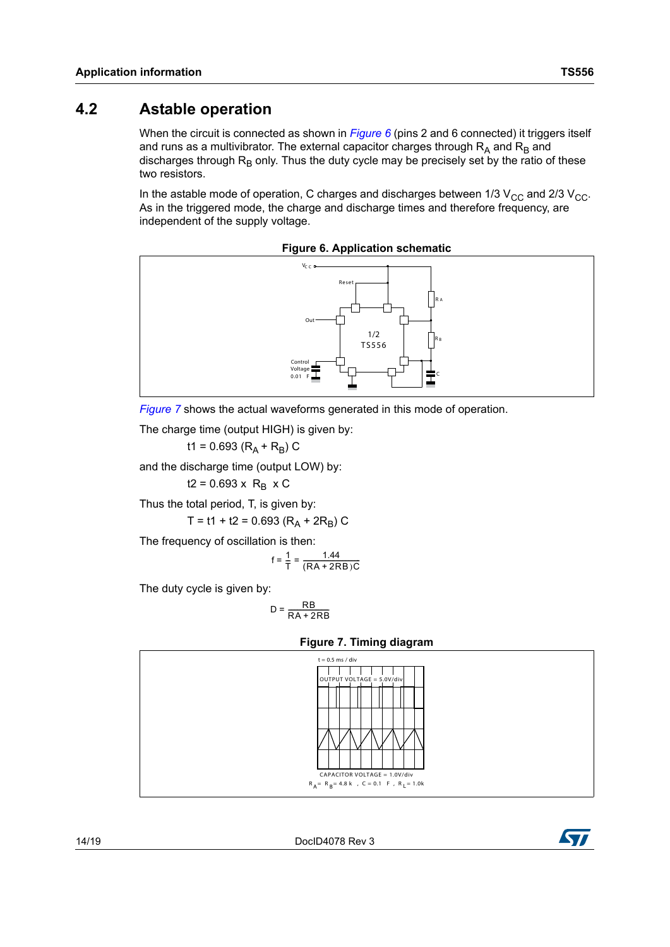### <span id="page-13-0"></span>**4.2 Astable operation**

When the circuit is connected as shown in *[Figure](#page-13-1)* 6 (pins 2 and 6 connected) it triggers itself and runs as a multivibrator. The external capacitor charges through  $R_A$  and  $R_B$  and discharges through  $R_B$  only. Thus the duty cycle may be precisely set by the ratio of these two resistors.

In the astable mode of operation, C charges and discharges between 1/3  $V_{\text{CC}}$  and 2/3  $V_{\text{CC}}$ . As in the triggered mode, the charge and discharge times and therefore frequency, are independent of the supply voltage.

<span id="page-13-1"></span>

**Figure 6. Application schematic**



The charge time (output HIGH) is given by:

t1 = 0.693 ( $R_A$  +  $R_B$ ) C

and the discharge time (output LOW) by:

 $t2 = 0.693 \times R_B \times C$ 

Thus the total period, T, is given by:

T = t1 + t2 = 0.693 ( $R_A$  + 2 $R_B$ ) C

The frequency of oscillation is then:

$$
f = \frac{1}{T} = \frac{1.44}{(RA + 2RB)C}
$$

The duty cycle is given by:

$$
D = \frac{RB}{RA + 2RB}
$$

<span id="page-13-2"></span>

#### **Figure 7. Timing diagram**

14/19 DocID4078 Rev 3

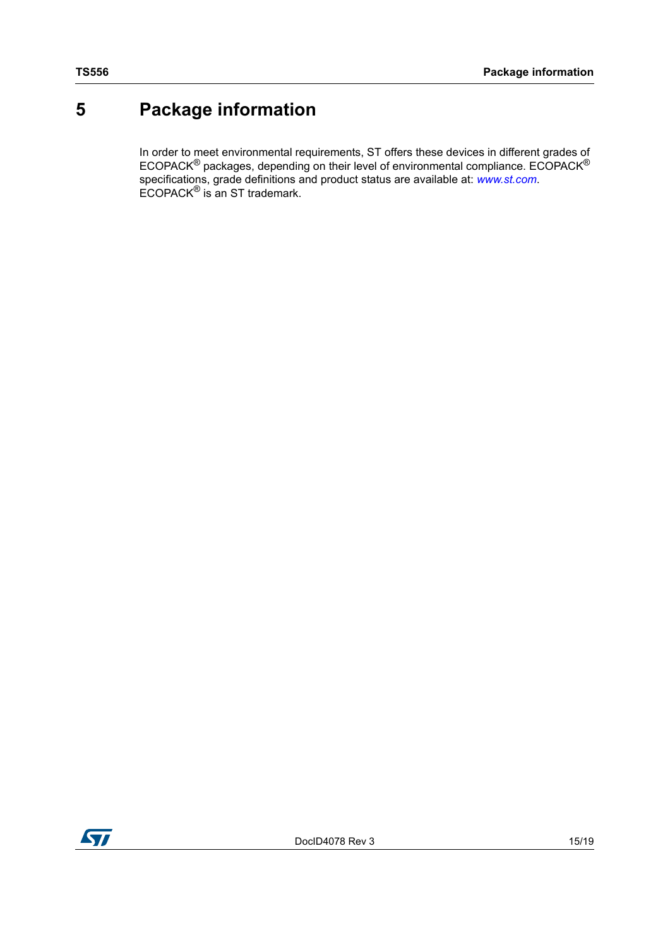## <span id="page-14-0"></span>**5 Package information**

In order to meet environmental requirements, ST offers these devices in different grades of ECOPACK<sup>®</sup> packages, depending on their level of environmental compliance. ECOPACK<sup>®</sup> specifications, grade definitions and product status are available at: *[www.st.com](http://www.st.com)*. ECOPACK® is an ST trademark.

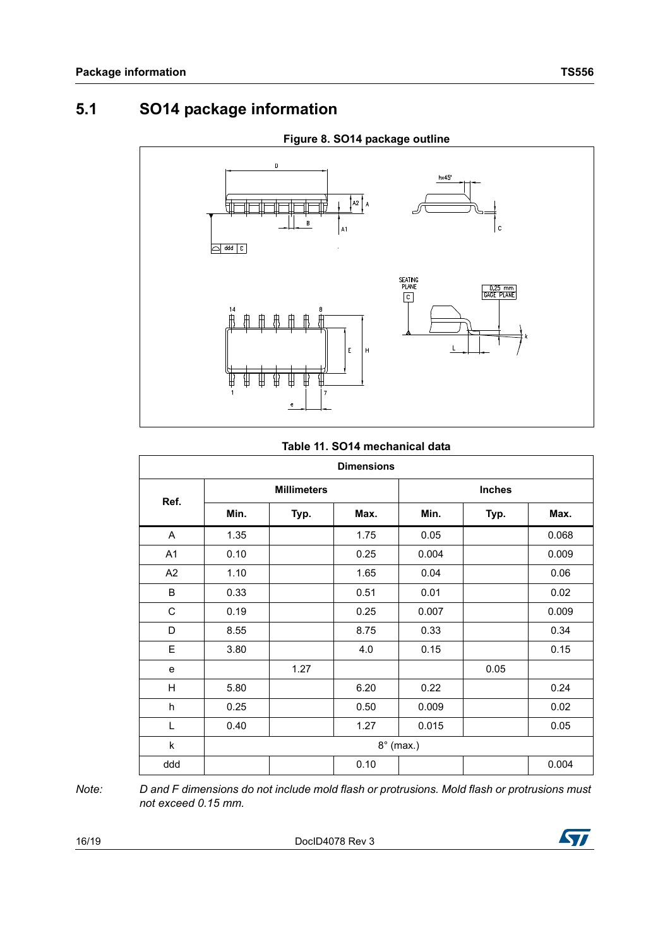### <span id="page-15-0"></span>**5.1 SO14 package information**



### **Figure 8. SO14 package outline**

#### **Table 11. SO14 mechanical data**

| <b>Dimensions</b> |                    |      |      |               |      |       |  |  |
|-------------------|--------------------|------|------|---------------|------|-------|--|--|
| Ref.              | <b>Millimeters</b> |      |      | <b>Inches</b> |      |       |  |  |
|                   | Min.               | Typ. | Max. | Min.          | Typ. | Max.  |  |  |
| A                 | 1.35               |      | 1.75 | 0.05          |      | 0.068 |  |  |
| A1                | 0.10               |      | 0.25 | 0.004         |      | 0.009 |  |  |
| A <sub>2</sub>    | 1.10               |      | 1.65 | 0.04          |      | 0.06  |  |  |
| B                 | 0.33               |      | 0.51 | 0.01          |      | 0.02  |  |  |
| $\mathsf C$       | 0.19               |      | 0.25 | 0.007         |      | 0.009 |  |  |
| D                 | 8.55               |      | 8.75 | 0.33          |      | 0.34  |  |  |
| E                 | 3.80               |      | 4.0  | 0.15          |      | 0.15  |  |  |
| e                 |                    | 1.27 |      |               | 0.05 |       |  |  |
| H                 | 5.80               |      | 6.20 | 0.22          |      | 0.24  |  |  |
| h                 | 0.25               |      | 0.50 | 0.009         |      | 0.02  |  |  |
| Г                 | 0.40               |      | 1.27 | 0.015         |      | 0.05  |  |  |
| k                 | $8^\circ$ (max.)   |      |      |               |      |       |  |  |
| ddd               |                    |      | 0.10 |               |      | 0.004 |  |  |

*Note: D and F dimensions do not include mold flash or protrusions. Mold flash or protrusions must not exceed 0.15 mm.*

16/19 DocID4078 Rev 3

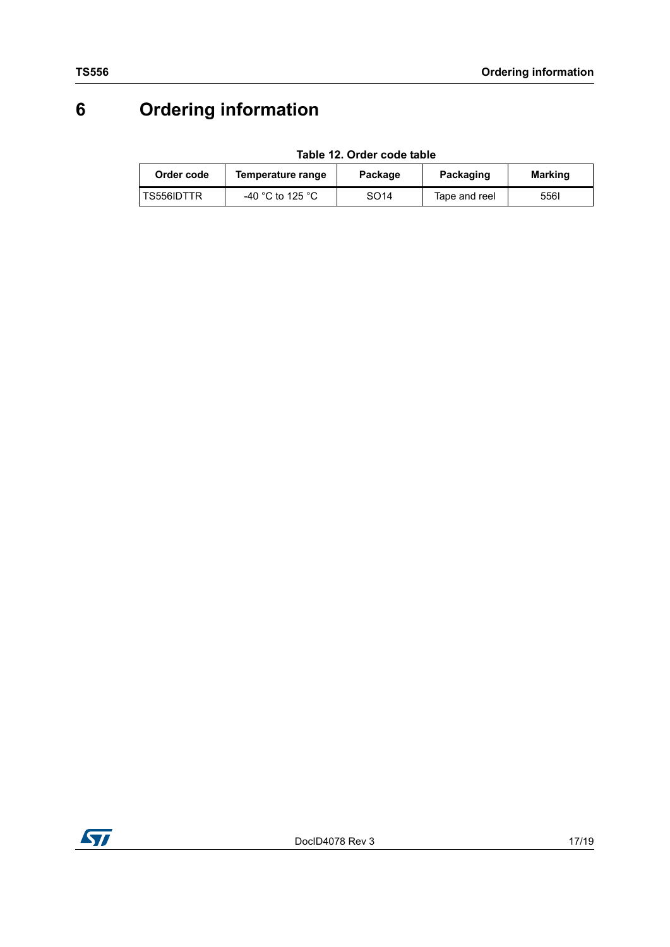## <span id="page-16-0"></span>**6 Ordering information**

**Table 12. Order code table**

<span id="page-16-1"></span>

| Order code | Temperature range | Package | Packaging     | <b>Marking</b> |
|------------|-------------------|---------|---------------|----------------|
| TS556IDTTR | -40 °C to 125 °C  | SO14    | Tape and reel | 556I           |

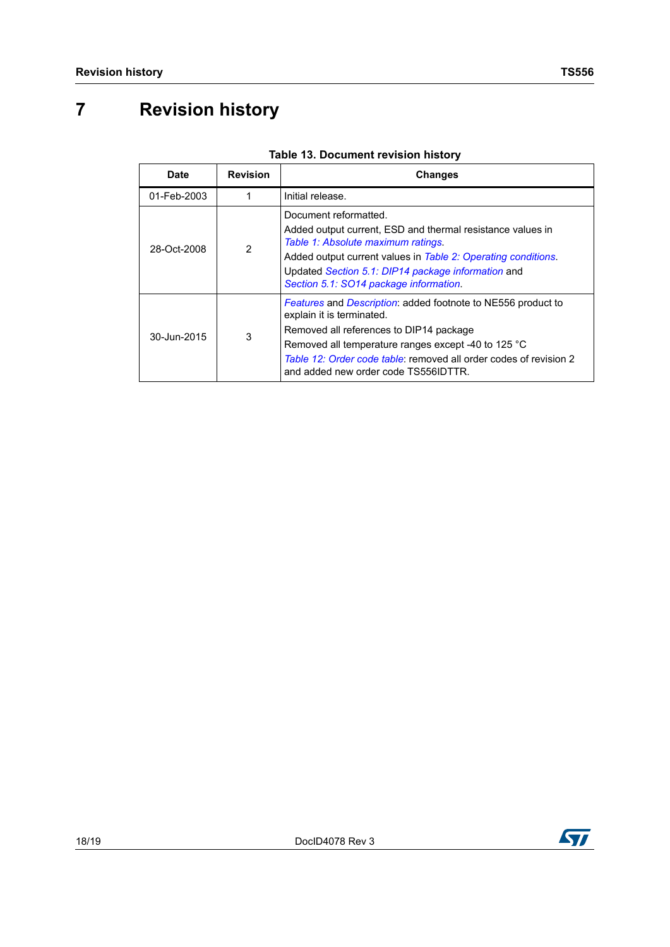## <span id="page-17-0"></span>**7 Revision history**

| <b>Date</b> | <b>Revision</b> | <b>Changes</b>                                                                                                                                                                                                                                                                                                  |  |
|-------------|-----------------|-----------------------------------------------------------------------------------------------------------------------------------------------------------------------------------------------------------------------------------------------------------------------------------------------------------------|--|
| 01-Feb-2003 |                 | Initial release.                                                                                                                                                                                                                                                                                                |  |
| 28-Oct-2008 | $\overline{2}$  | Document reformatted.<br>Added output current, ESD and thermal resistance values in<br>Table 1: Absolute maximum ratings.<br>Added output current values in Table 2: Operating conditions.<br>Updated Section 5.1: DIP14 package information and<br>Section 5.1: SO14 package information.                      |  |
| 30-Jun-2015 | 3               | <b>Features and Description: added footnote to NE556 product to</b><br>explain it is terminated.<br>Removed all references to DIP14 package<br>Removed all temperature ranges except -40 to 125 °C<br>Table 12: Order code table: removed all order codes of revision 2<br>and added new order code TS556IDTTR. |  |

### **Table 13. Document revision history**